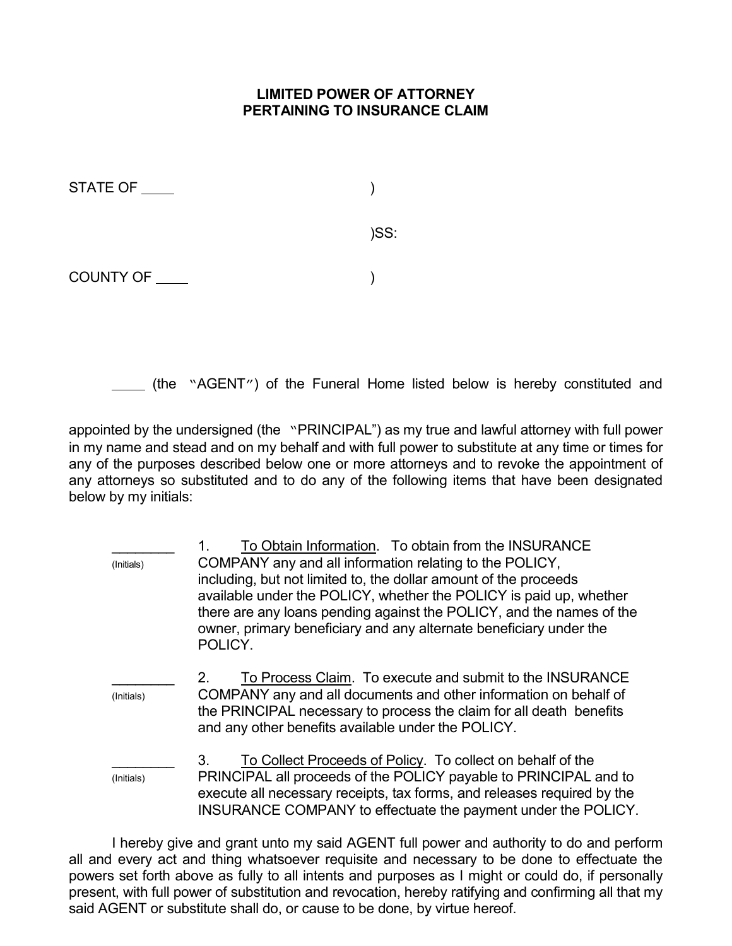## LIMITED POWER OF ATTORNEY PERTAINING TO INSURANCE CLAIM

| STATE OF         |      |
|------------------|------|
|                  | )SS: |
| <b>COUNTY OF</b> |      |

(the "AGENT") of the Funeral Home listed below is hereby constituted and

appointed by the undersigned (the "PRINCIPAL") as my true and lawful attorney with full power in my name and stead and on my behalf and with full power to substitute at any time or times for any of the purposes described below one or more attorneys and to revoke the appointment of any attorneys so substituted and to do any of the following items that have been designated below by my initials:

1. To Obtain Information. To obtain from the INSURANCE (Initials) COMPANY any and all information relating to the POLICY, including, but not limited to, the dollar amount of the proceeds available under the POLICY, whether the POLICY is paid up, whether there are any loans pending against the POLICY, and the names of the owner, primary beneficiary and any alternate beneficiary under the POLICY. 2. To Process Claim. To execute and submit to the INSURANCE (Initials) COMPANY any and all documents and other information on behalf of the PRINCIPAL necessary to process the claim for all death benefits and any other benefits available under the POLICY. \_\_\_\_\_\_\_\_ 3. To Collect Proceeds of Policy. To collect on behalf of the (Initials) PRINCIPAL all proceeds of the POLICY payable to PRINCIPAL and to execute all necessary receipts, tax forms, and releases required by the INSURANCE COMPANY to effectuate the payment under the POLICY.

 I hereby give and grant unto my said AGENT full power and authority to do and perform all and every act and thing whatsoever requisite and necessary to be done to effectuate the powers set forth above as fully to all intents and purposes as I might or could do, if personally present, with full power of substitution and revocation, hereby ratifying and confirming all that my said AGENT or substitute shall do, or cause to be done, by virtue hereof.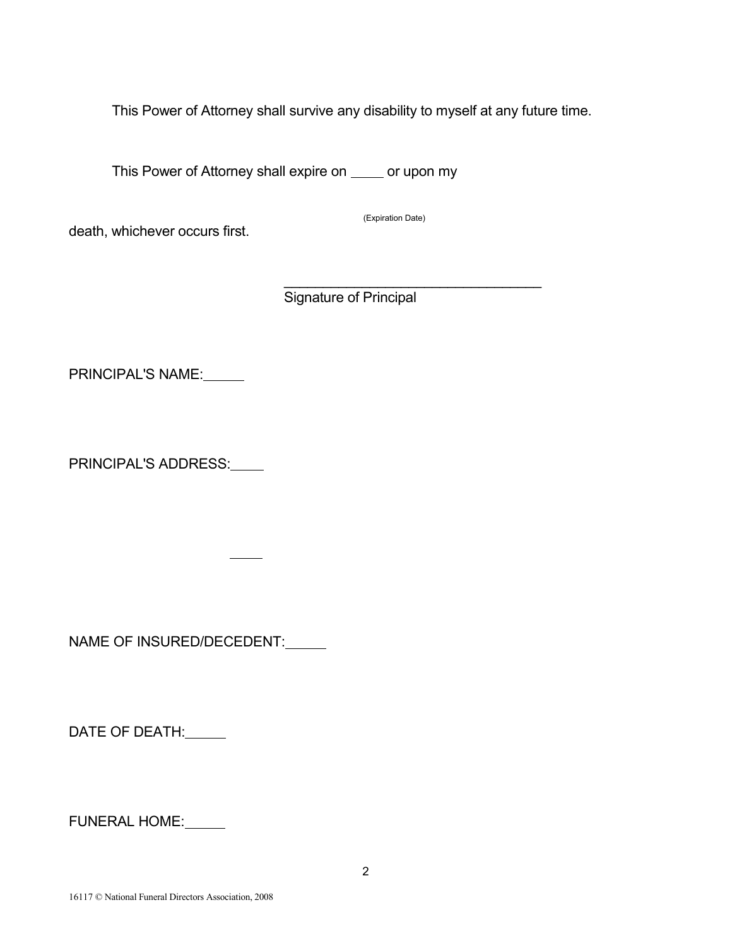This Power of Attorney shall survive any disability to myself at any future time.

This Power of Attorney shall expire on \_\_\_\_ or upon my

death, whichever occurs first.

(Expiration Date)

 $\mathcal{L}_\text{max}$  and  $\mathcal{L}_\text{max}$  and  $\mathcal{L}_\text{max}$  and  $\mathcal{L}_\text{max}$  and  $\mathcal{L}_\text{max}$ Signature of Principal

PRINCIPAL'S NAME:

PRINCIPAL'S ADDRESS:

NAME OF INSURED/DECEDENT:

DATE OF DEATH:

FUNERAL HOME: